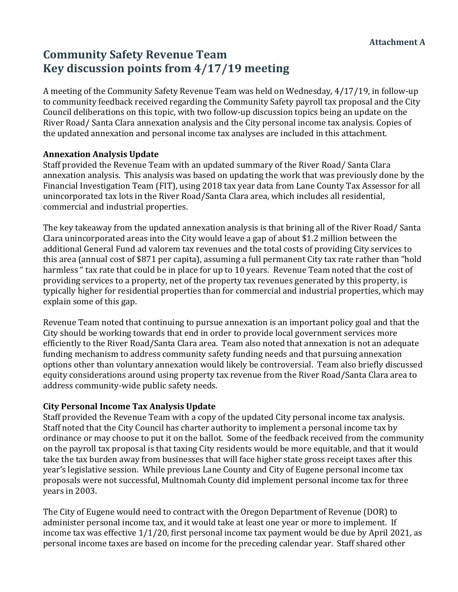## **Community Safety Revenue Team Key discussion points from 4/17/19 meeting**

A meeting of the Community Safety Revenue Team was held on Wednesday, 4/17/19, in follow-up to community feedback received regarding the Community Safety payroll tax proposal and the City Council deliberations on this topic, with two follow-up discussion topics being an update on the River Road/ Santa Clara annexation analysis and the City personal income tax analysis. Copies of the updated annexation and personal income tax analyses are included in this attachment.

#### **Annexation Analysis Update**

Staff provided the Revenue Team with an updated summary of the River Road/ Santa Clara annexation analysis. This analysis was based on updating the work that was previously done by the Financial Investigation Team (FIT), using 2018 tax year data from Lane County Tax Assessor for all unincorporated tax lots in the River Road/Santa Clara area, which includes all residential, commercial and industrial properties.

The key takeaway from the updated annexation analysis is that brining all of the River Road/ Santa Clara unincorporated areas into the City would leave a gap of about \$1.2 million between the additional General Fund ad valorem tax revenues and the total costs of providing City services to this area (annual cost of \$871 per capita), assuming a full permanent City tax rate rather than "hold harmless " tax rate that could be in place for up to 10 years. Revenue Team noted that the cost of providing services to a property, net of the property tax revenues generated by this property, is typically higher for residential properties than for commercial and industrial properties, which may explain some of this gap.

Revenue Team noted that continuing to pursue annexation is an important policy goal and that the City should be working towards that end in order to provide local government services more efficiently to the River Road/Santa Clara area. Team also noted that annexation is not an adequate funding mechanism to address community safety funding needs and that pursuing annexation options other than voluntary annexation would likely be controversial. Team also briefly discussed equity considerations around using property tax revenue from the River Road/Santa Clara area to address community-wide public safety needs.

#### **City Personal Income Tax Analysis Update**

Staff provided the Revenue Team with a copy of the updated City personal income tax analysis. Staff noted that the City Council has charter authority to implement a personal income tax by ordinance or may choose to put it on the ballot. Some of the feedback received from the community on the payroll tax proposal is that taxing City residents would be more equitable, and that it would take the tax burden away from businesses that will face higher state gross receipt taxes after this year's legislative session. While previous Lane County and City of Eugene personal income tax proposals were not successful, Multnomah County did implement personal income tax for three vears in 2003.

The City of Eugene would need to contract with the Oregon Department of Revenue (DOR) to administer personal income tax, and it would take at least one year or more to implement. If income tax was effective  $1/1/20$ , first personal income tax payment would be due by April 2021, as personal income taxes are based on income for the preceding calendar year. Staff shared other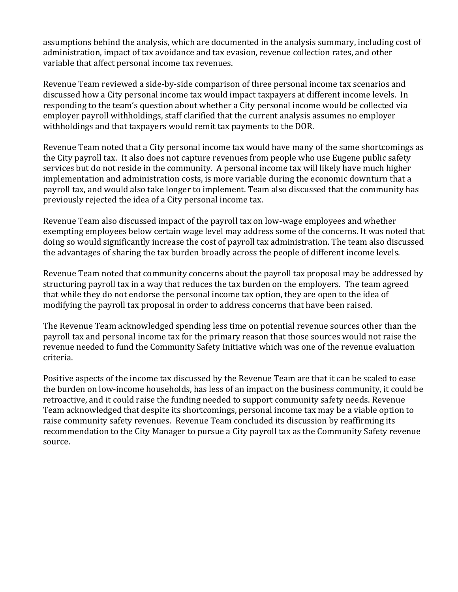assumptions behind the analysis, which are documented in the analysis summary, including cost of administration, impact of tax avoidance and tax evasion, revenue collection rates, and other variable that affect personal income tax revenues.

Revenue Team reviewed a side-by-side comparison of three personal income tax scenarios and discussed how a City personal income tax would impact taxpayers at different income levels. In responding to the team's question about whether a City personal income would be collected via employer payroll withholdings, staff clarified that the current analysis assumes no employer withholdings and that taxpayers would remit tax payments to the DOR.

Revenue Team noted that a City personal income tax would have many of the same shortcomings as the City payroll tax. It also does not capture revenues from people who use Eugene public safety services but do not reside in the community. A personal income tax will likely have much higher implementation and administration costs, is more variable during the economic downturn that a payroll tax, and would also take longer to implement. Team also discussed that the community has previously rejected the idea of a City personal income tax.

Revenue Team also discussed impact of the payroll tax on low-wage employees and whether exempting employees below certain wage level may address some of the concerns. It was noted that doing so would significantly increase the cost of payroll tax administration. The team also discussed the advantages of sharing the tax burden broadly across the people of different income levels.

Revenue Team noted that community concerns about the payroll tax proposal may be addressed by structuring payroll tax in a way that reduces the tax burden on the employers. The team agreed that while they do not endorse the personal income tax option, they are open to the idea of modifying the payroll tax proposal in order to address concerns that have been raised.

The Revenue Team acknowledged spending less time on potential revenue sources other than the payroll tax and personal income tax for the primary reason that those sources would not raise the revenue needed to fund the Community Safety Initiative which was one of the revenue evaluation criteria. 

Positive aspects of the income tax discussed by the Revenue Team are that it can be scaled to ease the burden on low-income households, has less of an impact on the business community, it could be retroactive, and it could raise the funding needed to support community safety needs. Revenue Team acknowledged that despite its shortcomings, personal income tax may be a viable option to raise community safety revenues. Revenue Team concluded its discussion by reaffirming its recommendation to the City Manager to pursue a City payroll tax as the Community Safety revenue source.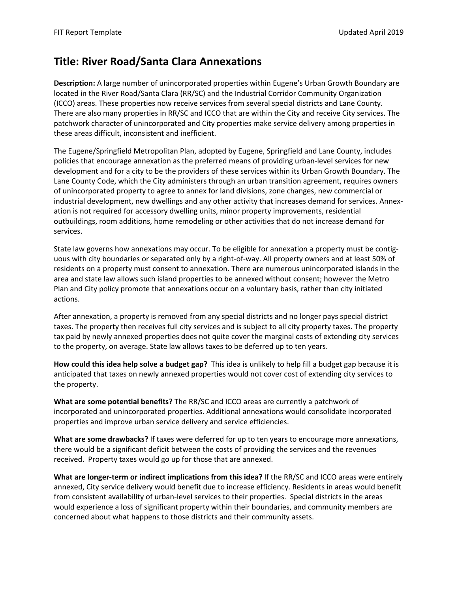## **Title: River Road/Santa Clara Annexations**

**Description:** A large number of unincorporated properties within Eugene's Urban Growth Boundary are located in the River Road/Santa Clara (RR/SC) and the Industrial Corridor Community Organization (ICCO) areas. These properties now receive services from several special districts and Lane County. There are also many properties in RR/SC and ICCO that are within the City and receive City services. The patchwork character of unincorporated and City properties make service delivery among properties in these areas difficult, inconsistent and inefficient.

The Eugene/Springfield Metropolitan Plan, adopted by Eugene, Springfield and Lane County, includes policies that encourage annexation as the preferred means of providing urban‐level services for new development and for a city to be the providers of these services within its Urban Growth Boundary. The Lane County Code, which the City administers through an urban transition agreement, requires owners of unincorporated property to agree to annex for land divisions, zone changes, new commercial or industrial development, new dwellings and any other activity that increases demand for services. Annexation is not required for accessory dwelling units, minor property improvements, residential outbuildings, room additions, home remodeling or other activities that do not increase demand for services.

State law governs how annexations may occur. To be eligible for annexation a property must be contig‐ uous with city boundaries or separated only by a right‐of‐way. All property owners and at least 50% of residents on a property must consent to annexation. There are numerous unincorporated islands in the area and state law allows such island properties to be annexed without consent; however the Metro Plan and City policy promote that annexations occur on a voluntary basis, rather than city initiated actions.

After annexation, a property is removed from any special districts and no longer pays special district taxes. The property then receives full city services and is subject to all city property taxes. The property tax paid by newly annexed properties does not quite cover the marginal costs of extending city services to the property, on average. State law allows taxes to be deferred up to ten years.

**How could this idea help solve a budget gap?** This idea is unlikely to help fill a budget gap because it is anticipated that taxes on newly annexed properties would not cover cost of extending city services to the property.

**What are some potential benefits?** The RR/SC and ICCO areas are currently a patchwork of incorporated and unincorporated properties. Additional annexations would consolidate incorporated properties and improve urban service delivery and service efficiencies.

**What are some drawbacks?** If taxes were deferred for up to ten years to encourage more annexations, there would be a significant deficit between the costs of providing the services and the revenues received. Property taxes would go up for those that are annexed.

**What are longer‐term or indirect implications from this idea?** If the RR/SC and ICCO areas were entirely annexed, City service delivery would benefit due to increase efficiency. Residents in areas would benefit from consistent availability of urban‐level services to their properties. Special districts in the areas would experience a loss of significant property within their boundaries, and community members are concerned about what happens to those districts and their community assets.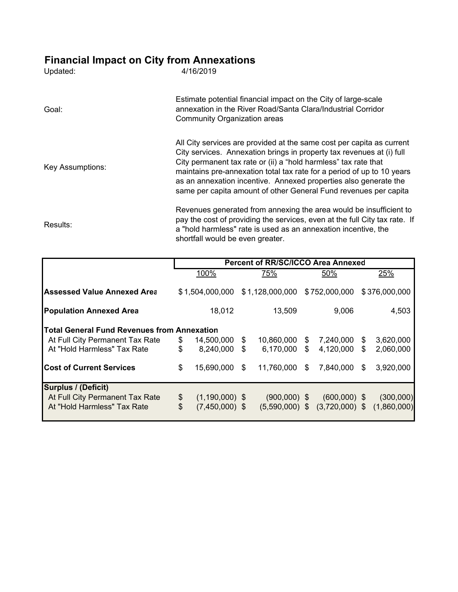# **Financial Impact on City from Annexations**

| Updated:         | 4/16/2019                                                                                                                                                                                                                                                                                                                                                                                                                           |
|------------------|-------------------------------------------------------------------------------------------------------------------------------------------------------------------------------------------------------------------------------------------------------------------------------------------------------------------------------------------------------------------------------------------------------------------------------------|
| Goal:            | Estimate potential financial impact on the City of large-scale<br>annexation in the River Road/Santa Clara/Industrial Corridor<br><b>Community Organization areas</b>                                                                                                                                                                                                                                                               |
| Key Assumptions: | All City services are provided at the same cost per capita as current<br>City services. Annexation brings in property tax revenues at (i) full<br>City permanent tax rate or (ii) a "hold harmless" tax rate that<br>maintains pre-annexation total tax rate for a period of up to 10 years<br>as an annexation incentive. Annexed properties also generate the<br>same per capita amount of other General Fund revenues per capita |
| Results:         | Revenues generated from annexing the area would be insufficient to<br>pay the cost of providing the services, even at the full City tax rate. If<br>a "hold harmless" rate is used as an annexation incentive, the<br>shortfall would be even greater.                                                                                                                                                                              |

|                                                    |                           | <b>Percent of RR/SC/ICCO Area Annexed</b> |    |                               |    |                                                 |     |               |  |
|----------------------------------------------------|---------------------------|-------------------------------------------|----|-------------------------------|----|-------------------------------------------------|-----|---------------|--|
|                                                    |                           | 100%                                      |    | 75%                           |    | 50%                                             |     | 25%           |  |
| <b>Assessed Value Annexed Area</b>                 |                           | \$1,504,000,000                           |    | \$1,128,000,000 \$752,000,000 |    |                                                 |     | \$376,000,000 |  |
| <b>Population Annexed Area</b>                     |                           | 18,012                                    |    | 13,509                        |    | 9,006                                           |     | 4,503         |  |
| <b>Total General Fund Revenues from Annexation</b> |                           |                                           |    |                               |    |                                                 |     |               |  |
| At Full City Permanent Tax Rate                    | \$                        | 14,500,000                                | S. | 10,860,000                    | \$ | 7,240,000                                       | \$  | 3,620,000     |  |
| At "Hold Harmless" Tax Rate                        | $\boldsymbol{\mathsf{S}}$ | 8,240,000                                 | \$ | $6,170,000$ \$                |    | 4,120,000                                       | \$  | 2,060,000     |  |
| <b>Cost of Current Services</b>                    | \$                        | 15,690,000                                | S. | 11,760,000                    | \$ | 7,840,000                                       | \$. | 3,920,000     |  |
| <b>Surplus / (Deficit)</b>                         |                           |                                           |    |                               |    |                                                 |     |               |  |
| At Full City Permanent Tax Rate                    | \$                        | $(1,190,000)$ \$                          |    | $(900,000)$ \$                |    | $(600,000)$ \$                                  |     | (300,000)     |  |
| At "Hold Harmless" Tax Rate                        | $\mathfrak{S}$            | $(7,450,000)$ \$                          |    |                               |    | $(5,590,000)$ \$ $(3,720,000)$ \$ $(1,860,000)$ |     |               |  |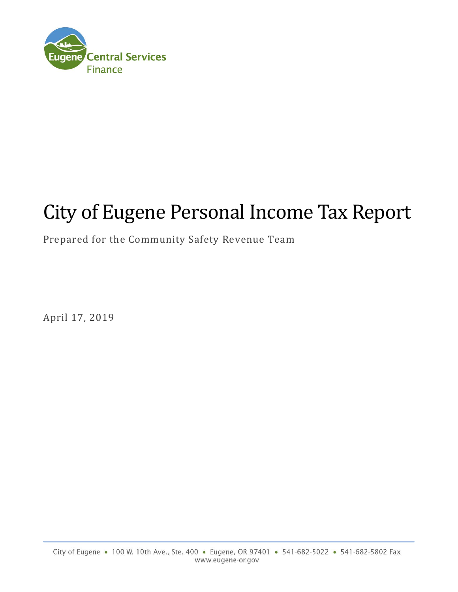

# City of Eugene Personal Income Tax Report

## Prepared for the Community Safety Revenue Team

April 17, 2019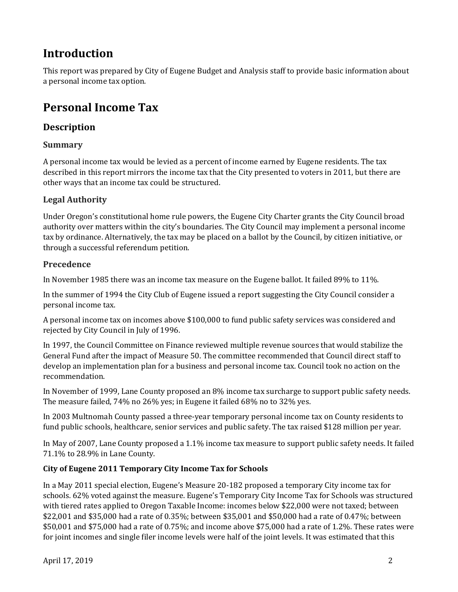# **Introduction**

This report was prepared by City of Eugene Budget and Analysis staff to provide basic information about a personal income tax option.

# **Personal Income Tax**

#### **Description**

#### **Summary**

A personal income tax would be levied as a percent of income earned by Eugene residents. The tax described in this report mirrors the income tax that the City presented to voters in 2011, but there are other ways that an income tax could be structured.

#### **Legal Authority**

Under Oregon's constitutional home rule powers, the Eugene City Charter grants the City Council broad authority over matters within the city's boundaries. The City Council may implement a personal income tax by ordinance. Alternatively, the tax may be placed on a ballot by the Council, by citizen initiative, or through a successful referendum petition.

#### **Precedence**

In November 1985 there was an income tax measure on the Eugene ballot. It failed 89% to 11%.

In the summer of 1994 the City Club of Eugene issued a report suggesting the City Council consider a personal income tax.

A personal income tax on incomes above \$100,000 to fund public safety services was considered and rejected by City Council in July of 1996.

In 1997, the Council Committee on Finance reviewed multiple revenue sources that would stabilize the General Fund after the impact of Measure 50. The committee recommended that Council direct staff to develop an implementation plan for a business and personal income tax. Council took no action on the recommendation. 

In November of 1999, Lane County proposed an 8% income tax surcharge to support public safety needs. The measure failed, 74% no 26% yes; in Eugene it failed 68% no to 32% yes.

In 2003 Multnomah County passed a three-year temporary personal income tax on County residents to fund public schools, healthcare, senior services and public safety. The tax raised \$128 million per year.

In May of 2007, Lane County proposed a 1.1% income tax measure to support public safety needs. It failed 71.1% to 28.9% in Lane County.

#### **City of Eugene 2011 Temporary City Income Tax for Schools**

In a May 2011 special election, Eugene's Measure 20-182 proposed a temporary City income tax for schools. 62% voted against the measure. Eugene's Temporary City Income Tax for Schools was structured with tiered rates applied to Oregon Taxable Income: incomes below \$22,000 were not taxed; between  $$22,001$  and  $$35,000$  had a rate of 0.35%; between \$35,001 and \$50,000 had a rate of 0.47%; between  $$50,001$  and  $$75,000$  had a rate of 0.75%; and income above  $$75,000$  had a rate of 1.2%. These rates were for joint incomes and single filer income levels were half of the joint levels. It was estimated that this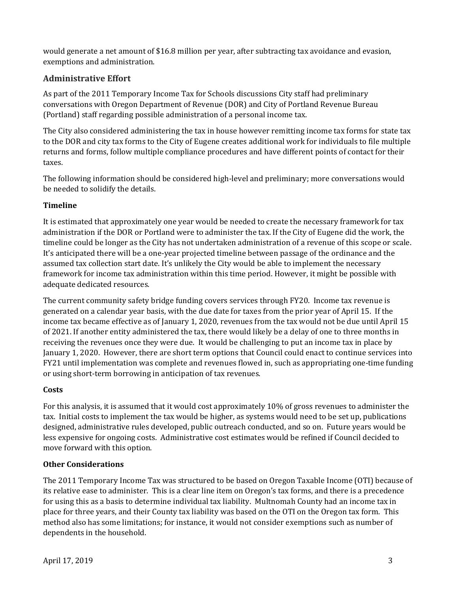would generate a net amount of \$16.8 million per year, after subtracting tax avoidance and evasion, exemptions and administration.

#### **Administrative Effort**

As part of the 2011 Temporary Income Tax for Schools discussions City staff had preliminary conversations with Oregon Department of Revenue (DOR) and City of Portland Revenue Bureau (Portland) staff regarding possible administration of a personal income tax.

The City also considered administering the tax in house however remitting income tax forms for state tax to the DOR and city tax forms to the City of Eugene creates additional work for individuals to file multiple returns and forms, follow multiple compliance procedures and have different points of contact for their taxes. 

The following information should be considered high-level and preliminary; more conversations would be needed to solidify the details.

#### **Timeline**

It is estimated that approximately one year would be needed to create the necessary framework for tax administration if the DOR or Portland were to administer the tax. If the City of Eugene did the work, the timeline could be longer as the City has not undertaken administration of a revenue of this scope or scale. It's anticipated there will be a one-year projected timeline between passage of the ordinance and the assumed tax collection start date. It's unlikely the City would be able to implement the necessary framework for income tax administration within this time period. However, it might be possible with adequate dedicated resources.

The current community safety bridge funding covers services through FY20. Income tax revenue is generated on a calendar year basis, with the due date for taxes from the prior year of April 15. If the income tax became effective as of January 1, 2020, revenues from the tax would not be due until April 15 of 2021. If another entity administered the tax, there would likely be a delay of one to three months in receiving the revenues once they were due. It would be challenging to put an income tax in place by January 1, 2020. However, there are short term options that Council could enact to continue services into FY21 until implementation was complete and revenues flowed in, such as appropriating one-time funding or using short-term borrowing in anticipation of tax revenues.

#### **Costs**

For this analysis, it is assumed that it would cost approximately 10% of gross revenues to administer the tax. Initial costs to implement the tax would be higher, as systems would need to be set up, publications designed, administrative rules developed, public outreach conducted, and so on. Future years would be less expensive for ongoing costs. Administrative cost estimates would be refined if Council decided to move forward with this option.

#### **Other Considerations**

The 2011 Temporary Income Tax was structured to be based on Oregon Taxable Income (OTI) because of its relative ease to administer. This is a clear line item on Oregon's tax forms, and there is a precedence for using this as a basis to determine individual tax liability. Multnomah County had an income tax in place for three years, and their County tax liability was based on the OTI on the Oregon tax form. This method also has some limitations; for instance, it would not consider exemptions such as number of dependents in the household.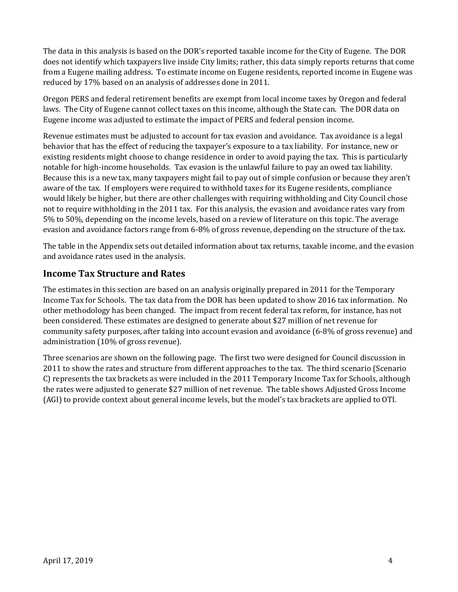The data in this analysis is based on the DOR's reported taxable income for the City of Eugene. The DOR does not identify which taxpayers live inside City limits; rather, this data simply reports returns that come from a Eugene mailing address. To estimate income on Eugene residents, reported income in Eugene was reduced by 17% based on an analysis of addresses done in 2011.

Oregon PERS and federal retirement benefits are exempt from local income taxes by Oregon and federal laws. The City of Eugene cannot collect taxes on this income, although the State can. The DOR data on Eugene income was adjusted to estimate the impact of PERS and federal pension income.

Revenue estimates must be adjusted to account for tax evasion and avoidance. Tax avoidance is a legal behavior that has the effect of reducing the taxpayer's exposure to a tax liability. For instance, new or existing residents might choose to change residence in order to avoid paying the tax. This is particularly notable for high-income households. Tax evasion is the unlawful failure to pay an owed tax liability. Because this is a new tax, many taxpayers might fail to pay out of simple confusion or because they aren't aware of the tax. If employers were required to withhold taxes for its Eugene residents, compliance would likely be higher, but there are other challenges with requiring withholding and City Council chose not to require withholding in the 2011 tax. For this analysis, the evasion and avoidance rates vary from 5% to 50%, depending on the income levels, based on a review of literature on this topic. The average evasion and avoidance factors range from 6-8% of gross revenue, depending on the structure of the tax.

The table in the Appendix sets out detailed information about tax returns, taxable income, and the evasion and avoidance rates used in the analysis.

#### **Income Tax Structure and Rates**

The estimates in this section are based on an analysis originally prepared in 2011 for the Temporary Income Tax for Schools. The tax data from the DOR has been updated to show 2016 tax information. No other methodology has been changed. The impact from recent federal tax reform, for instance, has not been considered. These estimates are designed to generate about \$27 million of net revenue for community safety purposes, after taking into account evasion and avoidance (6-8% of gross revenue) and administration (10% of gross revenue).

Three scenarios are shown on the following page. The first two were designed for Council discussion in 2011 to show the rates and structure from different approaches to the tax. The third scenario (Scenario C) represents the tax brackets as were included in the 2011 Temporary Income Tax for Schools, although the rates were adjusted to generate \$27 million of net revenue. The table shows Adjusted Gross Income (AGI) to provide context about general income levels, but the model's tax brackets are applied to OTI.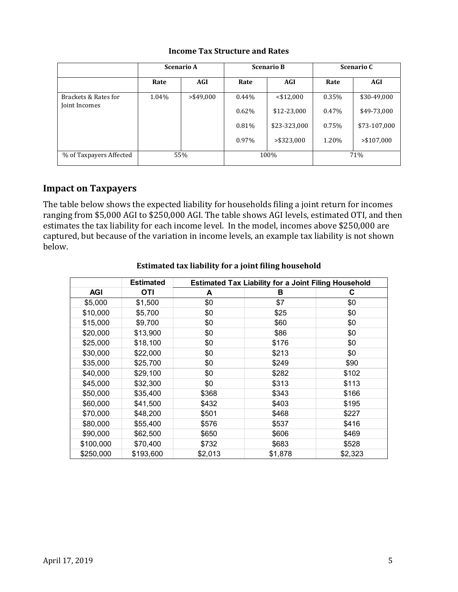|                                       | <b>Scenario A</b> |              |          | <b>Scenario B</b> | <b>Scenario C</b> |              |  |
|---------------------------------------|-------------------|--------------|----------|-------------------|-------------------|--------------|--|
|                                       | Rate              | AGI          | Rate     | AGI               | Rate              | AGI          |  |
| Brackets & Rates for<br>Joint Incomes | 1.04%             | $>$ \$49,000 | $0.44\%$ | $<$ \$12,000      | 0.35%             | \$30-49,000  |  |
|                                       |                   |              | 0.62%    | \$12-23,000       | 0.47%             | \$49-73,000  |  |
|                                       |                   |              | 0.81%    | \$23-323,000      | 0.75%             | \$73-107,000 |  |
|                                       |                   |              | 0.97%    | $>$ \$323,000     | 1.20%             | > \$107,000  |  |
| % of Taxpayers Affected               |                   | 55%          |          | 100%              | 71%               |              |  |

#### **Income Tax Structure and Rates**

#### **Impact on Taxpayers**

The table below shows the expected liability for households filing a joint return for incomes ranging from \$5,000 AGI to \$250,000 AGI. The table shows AGI levels, estimated OTI, and then estimates the tax liability for each income level. In the model, incomes above \$250,000 are captured, but because of the variation in income levels, an example tax liability is not shown below. 

|            | <b>Estimated</b> | <b>Estimated Tax Liability for a Joint Filing Household</b> |         |         |  |  |  |
|------------|------------------|-------------------------------------------------------------|---------|---------|--|--|--|
| <b>AGI</b> | OTI              | A                                                           | в       | С       |  |  |  |
| \$5,000    | \$1,500          | \$0                                                         | \$7     | \$0     |  |  |  |
| \$10,000   | \$5,700          | \$0                                                         | \$25    | \$0     |  |  |  |
| \$15,000   | \$9,700          | \$0                                                         | \$60    | \$0     |  |  |  |
| \$20,000   | \$13,900         | \$0                                                         | \$86    | \$0     |  |  |  |
| \$25,000   | \$18,100         | \$0                                                         | \$176   | \$0     |  |  |  |
| \$30,000   | \$22,000         | \$0                                                         | \$213   | \$0     |  |  |  |
| \$35,000   | \$25,700         | \$0                                                         | \$249   | \$90    |  |  |  |
| \$40,000   | \$29,100         | \$0                                                         | \$282   | \$102   |  |  |  |
| \$45,000   | \$32,300         | \$0                                                         | \$313   | \$113   |  |  |  |
| \$50,000   | \$35,400         | \$368                                                       | \$343   | \$166   |  |  |  |
| \$60,000   | \$41,500         | \$432                                                       | \$403   | \$195   |  |  |  |
| \$70,000   | \$48,200         | \$501                                                       | \$468   | \$227   |  |  |  |
| \$80,000   | \$55,400         | \$576                                                       | \$537   | \$416   |  |  |  |
| \$90,000   | \$62,500         | \$650                                                       | \$606   | \$469   |  |  |  |
| \$100,000  | \$70,400         | \$732                                                       | \$683   | \$528   |  |  |  |
| \$250,000  | \$193,600        | \$2,013                                                     | \$1,878 | \$2,323 |  |  |  |

#### **Estimated tax liability for a joint filing household**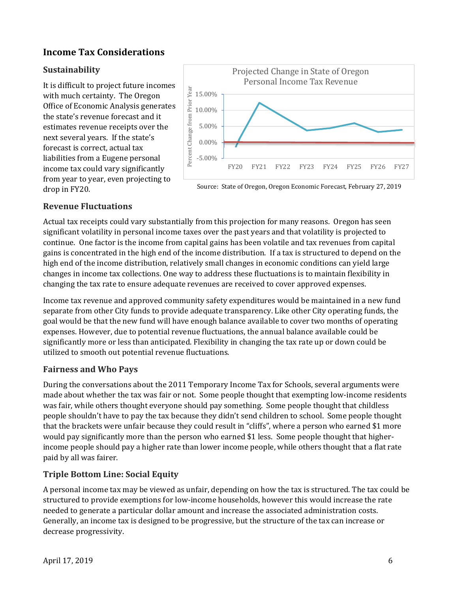## **Income Tax Considerations**

#### **Sustainability**

It is difficult to project future incomes with much certainty. The Oregon Office of Economic Analysis generates the state's revenue forecast and it estimates revenue receipts over the next several years. If the state's forecast is correct, actual tax liabilities from a Eugene personal income tax could vary significantly from year to year, even projecting to drop in FY20.



Source: State of Oregon, Oregon Economic Forecast, February 27, 2019

#### **Revenue Fluctuations**

Actual tax receipts could vary substantially from this projection for many reasons. Oregon has seen significant volatility in personal income taxes over the past years and that volatility is projected to continue. One factor is the income from capital gains has been volatile and tax revenues from capital gains is concentrated in the high end of the income distribution. If a tax is structured to depend on the high end of the income distribution, relatively small changes in economic conditions can yield large changes in income tax collections. One way to address these fluctuations is to maintain flexibility in changing the tax rate to ensure adequate revenues are received to cover approved expenses.

Income tax revenue and approved community safety expenditures would be maintained in a new fund separate from other City funds to provide adequate transparency. Like other City operating funds, the goal would be that the new fund will have enough balance available to cover two months of operating expenses. However, due to potential revenue fluctuations, the annual balance available could be significantly more or less than anticipated. Flexibility in changing the tax rate up or down could be utilized to smooth out potential revenue fluctuations.

#### **Fairness and Who Pays**

During the conversations about the 2011 Temporary Income Tax for Schools, several arguments were made about whether the tax was fair or not. Some people thought that exempting low-income residents was fair, while others thought everyone should pay something. Some people thought that childless people shouldn't have to pay the tax because they didn't send children to school. Some people thought that the brackets were unfair because they could result in "cliffs", where a person who earned \$1 more would pay significantly more than the person who earned \$1 less. Some people thought that higherincome people should pay a higher rate than lower income people, while others thought that a flat rate paid by all was fairer.

## **Triple Bottom Line: Social Equity**

A personal income tax may be viewed as unfair, depending on how the tax is structured. The tax could be structured to provide exemptions for low-income households, however this would increase the rate needed to generate a particular dollar amount and increase the associated administration costs. Generally, an income tax is designed to be progressive, but the structure of the tax can increase or decrease progressivity.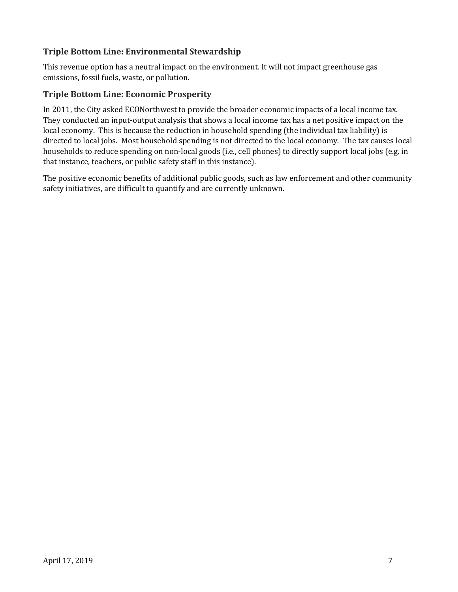#### **Triple Bottom Line: Environmental Stewardship**

This revenue option has a neutral impact on the environment. It will not impact greenhouse gas emissions, fossil fuels, waste, or pollution.

#### **Triple Bottom Line: Economic Prosperity**

In 2011, the City asked ECONorthwest to provide the broader economic impacts of a local income tax. They conducted an input-output analysis that shows a local income tax has a net positive impact on the local economy. This is because the reduction in household spending (the individual tax liability) is directed to local jobs. Most household spending is not directed to the local economy. The tax causes local households to reduce spending on non-local goods (i.e., cell phones) to directly support local jobs (e.g. in that instance, teachers, or public safety staff in this instance).

The positive economic benefits of additional public goods, such as law enforcement and other community safety initiatives, are difficult to quantify and are currently unknown.